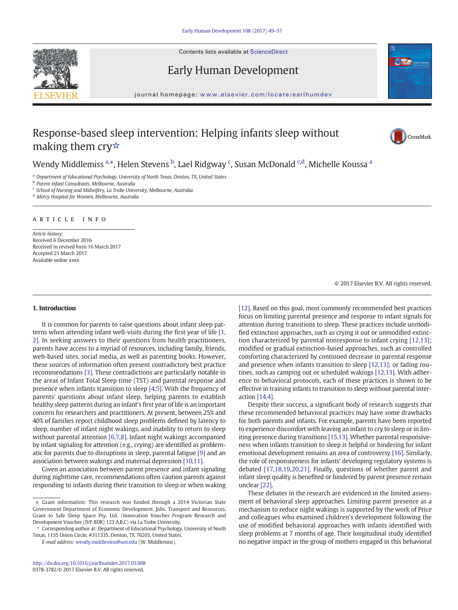Contents lists available at [ScienceDirect](http://www.sciencedirect.com/science/journal/03783782)

Early Human Development



journal homepage: <www.elsevier.com/locate/earlhumdev>

# Response-based sleep intervention: Helping infants sleep without making them cry☆



Wendy Middlemiss <sup>a,</sup>\*, Helen Stevens <sup>b</sup>, Lael Ridgway <sup>c</sup>, Susan McDonald <sup>c,d</sup>, Michelle Koussa <sup>a</sup>

a Department of Educational Psychology, University of North Texas, Denton, TX, United States

<sup>b</sup> Parent Infant Consultants, Melbourne, Australia

<sup>c</sup> School of Nursing and Midwifery, La Trobe University, Melbourne, Australia

<sup>d</sup> Mercy Hospital for Women, Melbourne, Australia

article info

Article history: Received 6 December 2016 Received in revised form 16 March 2017 Accepted 21 March 2017 Available online xxxx

# 1. Introduction

It is common for parents to raise questions about infant sleep patterns when attending infant well-visits during the first year of life [\[1,](#page-7-0) [2\]](#page-7-0). In seeking answers to their questions from health practitioners, parents have access to a myriad of resources, including family, friends, web-based sites, social media, as well as parenting books. However, these sources of information often present contradictory best practice recommendations [\[3\].](#page-7-0) These contradictions are particularly notable in the areas of Infant Total Sleep time (TST) and parental response and presence when infants transition to sleep [\[4,5\]](#page-7-0). With the frequency of parents' questions about infant sleep, helping parents to establish healthy sleep patterns during an infant's first year of life is an important concern for researchers and practitioners. At present, between 25% and 40% of families report childhood sleep problems defined by latency to sleep, number of infant night wakings, and inability to return to sleep without parental attention [\[6,7,8\]](#page-7-0). Infant night wakings accompanied by infant signaling for attention (e.g., crying) are identified as problematic for parents due to disruptions in sleep, parental fatigue [\[9\]](#page-7-0) and an association between wakings and maternal depression [\[10,11\]](#page-7-0).

Given an association between parent presence and infant signaling during nighttime care, recommendations often caution parents against responding to infants during their transition to sleep or when waking

E-mail address: [wendy.middlemiss@unt.edu](mailto:wendy.middlemiss@unt.edu) (W. Middlemiss).

© 2017 Elsevier B.V. All rights reserved.

[\[12\]](#page-7-0). Based on this goal, most commonly recommended best practices focus on limiting parental presence and response to infant signals for attention during transitions to sleep. These practices include unmodified extinction approaches, such as crying it out or unmodified extinction characterized by parental nonresponse to infant crying [\[12,13\];](#page-7-0) modified or gradual extinction-based approaches, such as controlled comforting characterized by continued decrease in parental response and presence when infants transition to sleep [\[12,13\];](#page-7-0) or fading routines, such as camping out or scheduled wakings [\[12,13\]](#page-7-0). With adherence to behavioral protocols, each of these practices is shown to be effective in training infants to transition to sleep without parental interaction [\[14,4\].](#page-7-0)

Despite their success, a significant body of research suggests that these recommended behavioral practices may have some drawbacks for both parents and infants. For example, parents have been reported to experience discomfort with leaving an infant to cry to sleep or in limiting presence during transitions [\[15,13\].](#page-7-0) Whether parental responsiveness when infants transition to sleep is helpful or hindering for infant emotional development remains an area of controversy [\[16\]](#page-7-0). Similarly, the role of responsiveness for infants' developing regulatory systems is debated [\[17,18,19,20,21\].](#page-7-0) Finally, questions of whether parent and infant sleep quality is benefited or hindered by parent presence remain unclear [\[22\]](#page-7-0).

These debates in the research are evidenced in the limited assessment of behavioral sleep approaches. Limiting parent presence as a mechanism to reduce night wakings is supported by the work of Price and colleagues who examined children's development following the use of modified behavioral approaches with infants identified with sleep problems at 7 months of age. Their longitudinal study identified no negative impact in the group of mothers engaged in this behavioral

<sup>☆</sup> Grant information: This research was funded through a 2014 Victorian State Government Department of Economic Development, Jobs, Transport and Resources, Grant to Safe Sleep Space Pty. Ltd. (Innovation Voucher Program Research and Development Voucher (IVP BDR) 123 A,B,C) via La Trobe University.

<sup>⁎</sup> Corresponding author at: Department of Educational Psychology, University of North Texas, 1155 Union Circle, #311335, Denton, TX 76203, United States.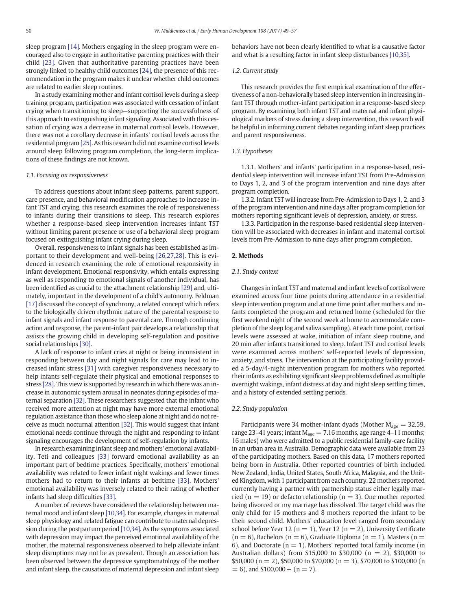sleep program [\[14\].](#page-7-0) Mothers engaging in the sleep program were encouraged also to engage in authoritative parenting practices with their child [\[23\]](#page-7-0). Given that authoritative parenting practices have been strongly linked to healthy child outcomes [\[24\]](#page-7-0), the presence of this recommendation in the program makes it unclear whether child outcomes are related to earlier sleep routines.

In a study examining mother and infant cortisol levels during a sleep training program, participation was associated with cessation of infant crying when transitioning to sleep—supporting the successfulness of this approach to extinguishing infant signaling. Associated with this cessation of crying was a decrease in maternal cortisol levels. However, there was not a corollary decrease in infants' cortisol levels across the residential program [\[25\]](#page-8-0). As this research did not examine cortisol levels around sleep following program completion, the long-term implications of these findings are not known.

#### 1.1. Focusing on responsiveness

To address questions about infant sleep patterns, parent support, care presence, and behavioral modification approaches to increase infant TST and crying, this research examines the role of responsiveness to infants during their transitions to sleep. This research explores whether a response-based sleep intervention increases infant TST without limiting parent presence or use of a behavioral sleep program focused on extinguishing infant crying during sleep.

Overall, responsiveness to infant signals has been established as important to their development and well-being [\[26,27,28\]](#page-8-0). This is evidenced in research examining the role of emotional responsivity in infant development. Emotional responsivity, which entails expressing as well as responding to emotional signals of another individual, has been identified as crucial to the attachment relationship [\[29\]](#page-8-0) and, ultimately, important in the development of a child's autonomy. Feldman [\[17\]](#page-7-0) discussed the concept of synchrony, a related concept which refers to the biologically driven rhythmic nature of the parental response to infant signals and infant response to parental care. Through continuing action and response, the parent-infant pair develops a relationship that assists the growing child in developing self-regulation and positive social relationships [\[30\].](#page-8-0)

A lack of response to infant cries at night or being inconsistent in responding between day and night signals for care may lead to increased infant stress [\[31\]](#page-8-0) with caregiver responsiveness necessary to help infants self-regulate their physical and emotional responses to stress [\[28\].](#page-8-0) This view is supported by research in which there was an increase in autonomic system arousal in neonates during episodes of maternal separation [\[32\]](#page-8-0). These researchers suggested that the infant who received more attention at night may have more external emotional regulation assistance than those who sleep alone at night and do not receive as much nocturnal attention [\[32\]](#page-8-0). This would suggest that infant emotional needs continue through the night and responding to infant signaling encourages the development of self-regulation by infants.

In research examining infant sleep and mothers' emotional availability, Teti and colleagues [\[33\]](#page-8-0) forward emotional availability as an important part of bedtime practices. Specifically, mothers' emotional availability was related to fewer infant night wakings and fewer times mothers had to return to their infants at bedtime [\[33\]](#page-8-0). Mothers' emotional availability was inversely related to their rating of whether infants had sleep difficulties [\[33\]](#page-8-0).

A number of reviews have considered the relationship between maternal mood and infant sleep [\[10,34\]](#page-7-0). For example, changes in maternal sleep physiology and related fatigue can contribute to maternal depression during the postpartum period [\[10,34\]](#page-7-0). As the symptoms associated with depression may impact the perceived emotional availability of the mother, the maternal responsiveness observed to help alleviate infant sleep disruptions may not be as prevalent. Though an association has been observed between the depressive symptomatology of the mother and infant sleep, the causations of maternal depression and infant sleep behaviors have not been clearly identified to what is a causative factor and what is a resulting factor in infant sleep disturbances [\[10,35\].](#page-7-0)

## 1.2. Current study

This research provides the first empirical examination of the effectiveness of a non-behaviorally based sleep intervention in increasing infant TST through mother-infant participation in a response-based sleep program. By examining both infant TST and maternal and infant physiological markers of stress during a sleep intervention, this research will be helpful in informing current debates regarding infant sleep practices and parent responsiveness.

# 1.3. Hypotheses

1.3.1. Mothers' and infants' participation in a response-based, residential sleep intervention will increase infant TST from Pre-Admission to Days 1, 2, and 3 of the program intervention and nine days after program completion.

1.3.2. Infant TST will increase from Pre-Admission to Days 1, 2, and 3 of the program intervention and nine days after program completion for mothers reporting significant levels of depression, anxiety, or stress.

1.3.3. Participation in the response-based residential sleep intervention will be associated with decreases in infant and maternal cortisol levels from Pre-Admission to nine days after program completion.

### 2. Methods

# 2.1. Study context

Changes in infant TST and maternal and infant levels of cortisol were examined across four time points during attendance in a residential sleep intervention program and at one time point after mothers and infants completed the program and returned home (scheduled for the first weekend night of the second week at home to accommodate completion of the sleep log and saliva sampling). At each time point, cortisol levels were assessed at wake, initiation of infant sleep routine, and 20 min after infants transitioned to sleep. Infant TST and cortisol levels were examined across mothers' self-reported levels of depression, anxiety, and stress. The intervention at the participating facility provided a 5-day/4-night intervention program for mothers who reported their infants as exhibiting significant sleep problems defined as multiple overnight wakings, infant distress at day and night sleep settling times, and a history of extended settling periods.

#### 2.2. Study population

Participants were 34 mother-infant dyads (Mother  $M_{\text{age}} = 32.59$ , range 23–41 years; infant  $M_{\text{age}} = 7.16$  months, age range 4–11 months; 16 males) who were admitted to a public residential family-care facility in an urban area in Australia. Demographic data were available from 23 of the participating mothers. Based on this data, 17 mothers reported being born in Australia. Other reported countries of birth included New Zealand, India, United States, South Africa, Malaysia, and the United Kingdom, with 1 participant from each country. 22 mothers reported currently having a partner with partnership status either legally married ( $n = 19$ ) or defacto relationship ( $n = 3$ ). One mother reported being divorced or my marriage has dissolved. The target child was the only child for 15 mothers and 8 mothers reported the infant to be their second child. Mothers' education level ranged from secondary school before Year 12 ( $n = 1$ ), Year 12 ( $n = 2$ ), University Certificate  $(n = 6)$ , Bachelors  $(n = 6)$ , Graduate Diploma  $(n = 1)$ , Masters  $(n = 1)$ 6), and Doctorate ( $n = 1$ ). Mothers' reported total family income (in Australian dollars) from \$15,000 to \$30,000 ( $n = 2$ ), \$30,000 to \$50,000 (n = 2), \$50,000 to \$70,000 (n = 3), \$70,000 to \$100,000 (n  $= 6$ ), and \$100,000 + (n = 7).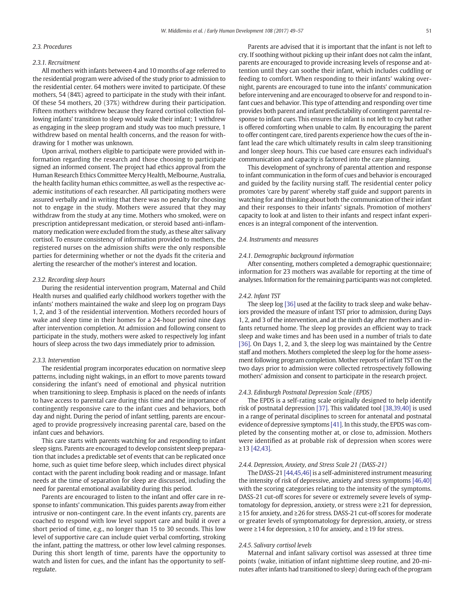#### 2.3. Procedures

#### 2.3.1. Recruitment

All mothers with infants between 4 and 10 months of age referred to the residential program were advised of the study prior to admission to the residential center. 64 mothers were invited to participate. Of these mothers, 54 (84%) agreed to participate in the study with their infant. Of these 54 mothers, 20 (37%) withdrew during their participation. Fifteen mothers withdrew because they feared cortisol collection following infants' transition to sleep would wake their infant; 1 withdrew as engaging in the sleep program and study was too much pressure, 1 withdrew based on mental health concerns, and the reason for withdrawing for 1 mother was unknown.

Upon arrival, mothers eligible to participate were provided with information regarding the research and those choosing to participate signed an informed consent. The project had ethics approval from the Human Research Ethics Committee Mercy Health, Melbourne, Australia, the health facility human ethics committee, as well as the respective academic institutions of each researcher. All participating mothers were assured verbally and in writing that there was no penalty for choosing not to engage in the study. Mothers were assured that they may withdraw from the study at any time. Mothers who smoked, were on prescription antidepressant medication, or steroid based anti-inflammatory medication were excluded from the study, as these alter salivary cortisol. To ensure consistency of information provided to mothers, the registered nurses on the admission shifts were the only responsible parties for determining whether or not the dyads fit the criteria and alerting the researcher of the mother's interest and location.

# 2.3.2. Recording sleep hours

During the residential intervention program, Maternal and Child Health nurses and qualified early childhood workers together with the infants' mothers maintained the wake and sleep log on program Days 1, 2, and 3 of the residential intervention. Mothers recorded hours of wake and sleep time in their homes for a 24-hour period nine days after intervention completion. At admission and following consent to participate in the study, mothers were asked to respectively log infant hours of sleep across the two days immediately prior to admission.

# 2.3.3. Intervention

The residential program incorporates education on normative sleep patterns, including night wakings, in an effort to move parents toward considering the infant's need of emotional and physical nutrition when transitioning to sleep. Emphasis is placed on the needs of infants to have access to parental care during this time and the importance of contingently responsive care to the infant cues and behaviors, both day and night. During the period of infant settling, parents are encouraged to provide progressively increasing parental care, based on the infant cues and behaviors.

This care starts with parents watching for and responding to infant sleep signs. Parents are encouraged to develop consistent sleep preparation that includes a predictable set of events that can be replicated once home, such as quiet time before sleep, which includes direct physical contact with the parent including book reading and or massage. Infant needs at the time of separation for sleep are discussed, including the need for parental emotional availability during this period.

Parents are encouraged to listen to the infant and offer care in response to infants' communication. This guides parents away from either intrusive or non-contingent care. In the event infants cry, parents are coached to respond with low level support care and build it over a short period of time, e.g., no longer than 15 to 30 seconds. This low level of supportive care can include quiet verbal comforting, stroking the infant, patting the mattress, or other low level calming responses. During this short length of time, parents have the opportunity to watch and listen for cues, and the infant has the opportunity to selfregulate.

Parents are advised that it is important that the infant is not left to cry. If soothing without picking up their infant does not calm the infant, parents are encouraged to provide increasing levels of response and attention until they can soothe their infant, which includes cuddling or feeding to comfort. When responding to their infants' waking overnight, parents are encouraged to tune into the infants' communication before intervening and are encouraged to observe for and respond to infant cues and behavior. This type of attending and responding over time provides both parent and infant predictability of contingent parental response to infant cues. This ensures the infant is not left to cry but rather is offered comforting when unable to calm. By encouraging the parent to offer contingent care, tired parents experience how the cues of the infant lead the care which ultimately results in calm sleep transitioning and longer sleep hours. This cue based care ensures each individual's communication and capacity is factored into the care planning.

This development of synchrony of parental attention and response to infant communication in the form of cues and behavior is encouraged and guided by the facility nursing staff. The residential center policy promotes 'care by parent' whereby staff guide and support parents in watching for and thinking about both the communication of their infant and their responses to their infants' signals. Promotion of mothers' capacity to look at and listen to their infants and respect infant experiences is an integral component of the intervention.

# 2.4. Instruments and measures

### 2.4.1. Demographic background information

After consenting, mothers completed a demographic questionnaire; information for 23 mothers was available for reporting at the time of analyses. Information for the remaining participants was not completed.

#### 2.4.2. Infant TST

The sleep log [\[36\]](#page-8-0) used at the facility to track sleep and wake behaviors provided the measure of infant TST prior to admission, during Days 1, 2, and 3 of the intervention, and at the ninth day after mothers and infants returned home. The sleep log provides an efficient way to track sleep and wake times and has been used in a number of trials to date [\[36\]](#page-8-0). On Days 1, 2, and 3, the sleep log was maintained by the Centre staff and mothers. Mothers completed the sleep log for the home assessment following program completion. Mother reports of infant TST on the two days prior to admission were collected retrospectively following mothers' admission and consent to participate in the research project.

## 2.4.3. Edinburgh Postnatal Depression Scale (EPDS)

The EPDS is a self-rating scale originally designed to help identify risk of postnatal depression [\[37\]](#page-8-0). This validated tool [\[38,39,40\]](#page-8-0) is used in a range of perinatal disciplines to screen for antenatal and postnatal evidence of depressive symptoms [\[41\].](#page-8-0) In this study, the EPDS was completed by the consenting mother at, or close to, admission. Mothers were identified as at probable risk of depression when scores were ≥13 [\[42,43\].](#page-8-0)

#### 2.4.4. Depression, Anxiety, and Stress Scale 21 (DASS-21)

The DASS-21 [\[44,45,46\]](#page-8-0) is a self-administered instrument measuring the intensity of risk of depressive, anxiety and stress symptoms [\[46,40\]](#page-8-0) with the scoring categories relating to the intensity of the symptoms. DASS-21 cut-off scores for severe or extremely severe levels of symptomatology for depression, anxiety, or stress were ≥21 for depression, ≥15 for anxiety, and ≥26 for stress. DASS-21 cut-off scores for moderate or greater levels of symptomatology for depression, anxiety, or stress were ≥14 for depression, ≥10 for anxiety, and ≥19 for stress.

# 2.4.5. Salivary cortisol levels

Maternal and infant salivary cortisol was assessed at three time points (wake, initiation of infant nighttime sleep routine, and 20-minutes after infants had transitioned to sleep) during each of the program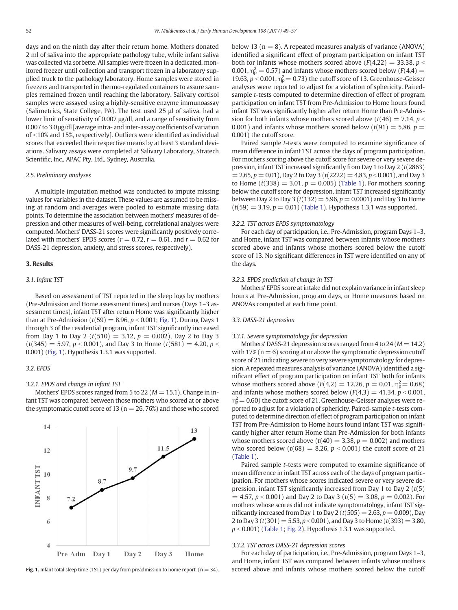days and on the ninth day after their return home. Mothers donated 2 ml of saliva into the appropriate pathology tube, while infant saliva was collected via sorbette. All samples were frozen in a dedicated, monitored freezer until collection and transport frozen in a laboratory supplied truck to the pathology laboratory. Home samples were stored in freezers and transported in thermo-regulated containers to assure samples remained frozen until reaching the laboratory. Salivary cortisol samples were assayed using a highly-sensitive enzyme immunoassay (Salimetrics, State College, PA). The test used 25 μl of saliva, had a lower limit of sensitivity of 0.007 μg/dl, and a range of sensitivity from 0.007 to 3.0 μg/dl [average intra- and inter-assay coefficients of variation of  $\le$ 10% and 15%, respectively]. Outliers were identified as individual scores that exceeded their respective means by at least 3 standard deviations. Salivary assays were completed at Salivary Laboratory, Stratech Scientific, Inc., APAC Pty, Ltd., Sydney, Australia.

# 2.5. Preliminary analyses

A multiple imputation method was conducted to impute missing values for variables in the dataset. These values are assumed to be missing at random and averages were pooled to estimate missing data points. To determine the association between mothers' measures of depression and other measures of well-being, correlational analyses were computed. Mothers' DASS-21 scores were significantly positively correlated with mothers' EPDS scores ( $r = 0.72$ ,  $r = 0.61$ , and  $r = 0.62$  for DASS-21 depression, anxiety, and stress scores, respectively).

#### 3. Results

#### 3.1. Infant TST

Based on assessment of TST reported in the sleep logs by mothers (Pre-Admission and Home assessment times) and nurses (Days 1–3 assessment times), infant TST after return Home was significantly higher than at Pre-Admission ( $t(59) = 8.96$ ,  $p < 0.001$ ; Fig. 1). During Days 1 through 3 of the residential program, infant TST significantly increased from Day 1 to Day 2 ( $t(510) = 3.12$ ,  $p = 0.002$ ), Day 2 to Day 3  $(t(345) = 5.97, p < 0.001)$ , and Day 3 to Home  $(t(581) = 4.20, p <$ 0.001) (Fig. 1). Hypothesis 1.3.1 was supported.

#### 3.2. EPDS

# 3.2.1. EPDS and change in infant TST

Mothers' EPDS scores ranged from 5 to 22 ( $M = 15.1$ ). Change in infant TST was compared between those mothers who scored at or above the symptomatic cutoff score of 13 ( $n = 26, 76\%$ ) and those who scored



below 13 ( $n = 8$ ). A repeated measures analysis of variance (ANOVA) identified a significant effect of program participation on infant TST both for infants whose mothers scored above  $(F(4,22) = 33.38, p <$ 0.001,  $\eta_{\rm p}^2 = 0.57$ ) and infants whose mothers scored below ( $F(4,4) =$ 19.63,  $p < 0.001$ ,  $\eta_{\rm p}^2 = 0.73$ ) the cutoff score of 13. Greenhouse-Geisser analyses were reported to adjust for a violation of sphericity. Pairedsample *t*-tests computed to determine direction of effect of program participation on infant TST from Pre-Admission to Home hours found infant TST was significantly higher after return Home than Pre-Admission for both infants whose mothers scored above ( $t(46) = 7.14$ ,  $p <$ 0.001) and infants whose mothers scored below  $(t(91) = 5.86, p =$ 0.001) the cutoff score.

Paired sample t-tests were computed to examine significance of mean difference in infant TST across the days of program participation. For mothers scoring above the cutoff score for severe or very severe depression, infant TST increased significantly from Day 1 to Day 2 (t(2863)  $= 2.65, p = 0.01$ ), Day 2 to Day 3 (t(2222) = 4.83, p < 0.001), and Day 3 to Home  $(t(338) = 3.01, p = 0.005)$  ([Table 1\)](#page-4-0). For mothers scoring below the cutoff score for depression, infant TST increased significantly between Day 2 to Day 3 ( $t(132) = 5.96$ ,  $p = 0.0001$ ) and Day 3 to Home  $(t(59) = 3.19, p = 0.01)$  [\(Table 1\)](#page-4-0). Hypothesis 1.3.1 was supported.

#### 3.2.2. TST across EPDS symptomatology

For each day of participation, i.e., Pre-Admission, program Days 1–3, and Home, infant TST was compared between infants whose mothers scored above and infants whose mothers scored below the cutoff score of 13. No significant differences in TST were identified on any of the days.

#### 3.2.3. EPDS prediction of change in TST

Mothers' EPDS score at intake did not explain variance in infant sleep hours at Pre-Admission, program days, or Home measures based on ANOVAs computed at each time point.

#### 3.3. DASS-21 depression

#### 3.3.1. Severe symptomatology for depression

Mothers' DASS-21 depression scores ranged from 4 to 24 ( $M = 14.2$ ) with 17% ( $n = 6$ ) scoring at or above the symptomatic depression cutoff score of 21 indicating severe to very severe symptomatology for depression. A repeated measures analysis of variance (ANOVA) identified a significant effect of program participation on infant TST both for infants whose mothers scored above ( $F(4,2) = 12.26$ ,  $p = 0.01$ ,  $\eta_{\rm p}^2 = 0.68$ ) and infants whose mothers scored below  $(F(4,3) = 41.34, p \le 0.001,$  $\eta_{\rm p}^2$  = 0.60) the cutoff score of 21. Greenhouse-Geisser analyses were reported to adjust for a violation of sphericity. Paired-sample t-tests computed to determine direction of effect of program participation on infant TST from Pre-Admission to Home hours found infant TST was significantly higher after return Home than Pre-Admission for both infants whose mothers scored above ( $t(40) = 3.38$ ,  $p = 0.002$ ) and mothers who scored below  $(t(68) = 8.26, p < 0.001)$  the cutoff score of 21 [\(Table 1\)](#page-4-0).

Paired sample t-tests were computed to examine significance of mean difference in infant TST across each of the days of program participation. For mothers whose scores indicated severe or very severe depression, infant TST significantly increased from Day 1 to Day 2  $(t(5)$  $= 4.57$ ,  $p < 0.001$ ) and Day 2 to Day 3 ( $t(5) = 3.08$ ,  $p = 0.002$ ). For mothers whose scores did not indicate symptomatology, infant TST significantly increased from Day 1 to Day 2 ( $t(505) = 2.63$ ,  $p = 0.009$ ), Day 2 to Day 3 ( $t(301) = 5.53$ ,  $p < 0.001$ ), and Day 3 to Home ( $t(393) = 3.80$ ,  $p < 0.001$ ) [\(Table 1;](#page-4-0) [Fig. 2](#page-4-0)). Hypothesis 1.3.1 was supported.

#### 3.3.2. TST across DASS-21 depression scores

For each day of participation, i.e., Pre-Admission, program Days 1–3, and Home, infant TST was compared between infants whose mothers Fig. 1. Infant total sleep time (TST) per day from preadmission to home report.  $(n = 34)$ . scored above and infants whose mothers scored below the cutoff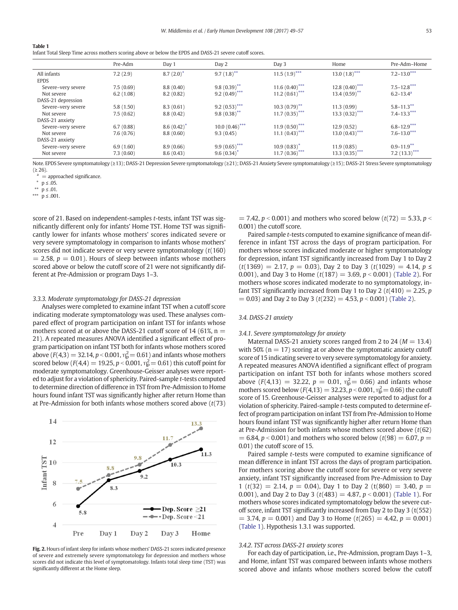<span id="page-4-0"></span>

| <b>Table 1</b>                                                                                           |
|----------------------------------------------------------------------------------------------------------|
| Infant Total Sleep Time across mothers scoring above or below the EPDS and DASS-21 severe cutoff scores. |

|                    | Pre-Adm   | Day 1        | Day 2                    | Day 3                     | Home                       | Pre-Adm-Home              |
|--------------------|-----------|--------------|--------------------------|---------------------------|----------------------------|---------------------------|
| All infants        | 7.2(2.9)  | $8.7(2.0)^*$ | $9.7(1.8)$ <sup>**</sup> | $11.5(1.9)$ ***           | $13.0(1.8)$ ***            | $7.2 - 13.0***$           |
| <b>EPDS</b>        |           |              |                          |                           |                            |                           |
| Severe-very severe | 7.5(0.69) | 8.8(0.40)    | $9.8(0.39)$ **           | $11.6(0.40)$ ***          | $12.8(0.40)$ ***           | $7.5 - 12.8***$           |
| Not severe         | 6.2(1.08) | 8.2(0.82)    | $9.2 (0.49)$ ***         | 11.2 $(0.61)$ ***         | $13.4(0.59)$ <sup>**</sup> | $6.2 - 13.4$ <sup>a</sup> |
| DASS-21 depression |           |              |                          |                           |                            |                           |
| Severe-very severe | 5.8(1.50) | 8.3(0.61)    | $9.2(0.53)$ ***          | $10.3(0.79)$ **           | 11.3(0.99)                 | $5.8 - 11.3$ **           |
| Not severe         | 7.5(0.62) | 8.8(0.42)    | $9.8(0.38)$ **           | $11.7(0.35)$ ***          | $13.3 (0.32)$ ***          | $7.4 - 13.3***$           |
| DASS-21 anxiety    |           |              |                          |                           |                            |                           |
| Severe-very severe | 6.7(0.88) | 8.6(0.42)    | $10.0~(0.46)$ ***        | $11.9(0.50)$ ***          | 12.9(0.52)                 | $6.8 - 12.9***$           |
| Not severe         | 7.6(0.76) | 8.8(0.60)    | 9.3(0.45)                | $11.1 (0.43)$ ***         | $13.0(0.43)$ ***           | $7.6 - 13.0***$           |
| DASS-21 anxiety    |           |              |                          |                           |                            |                           |
| Severe-very severe | 6.9(1.60) | 8.9(0.66)    | $9.9(0.65)$ ***          | $10.9(0.83)$ <sup>*</sup> | 11.9(0.85)                 | $0.9 - 11.9$ **           |
| Not severe         | 7.3(0.60) | 8.6(0.43)    | 9.6(0.34)                | $11.7(0.36)$ ***          | 13.3 $(0.35)$ ***          | $7.2(13.3)$ ***           |
|                    |           |              |                          |                           |                            |                           |

Note. EPDS Severe symptomatology (≥13); DASS-21 Depression Severe symptomatology (≥21); DASS-21 Anxiety Severe symptomatology (≥15); DASS-21 Stress Severe symptomatology  $(226)$ .

 $a =$  approached significance.

 $*$   $p$  ≤ .01.

\*\*\* $\stackrel{\_}{\mathbf{p}} \leq .001.$ 

score of 21. Based on independent-samples t-tests, infant TST was significantly different only for infants' Home TST. Home TST was significantly lower for infants whose mothers' scores indicated severe or very severe symptomatology in comparison to infants whose mothers' scores did not indicate severe or very severe symptomatology  $(t(160))$  $= 2.58$ ,  $p = 0.01$ ). Hours of sleep between infants whose mothers scored above or below the cutoff score of 21 were not significantly different at Pre-Admission or program Days 1–3.

# 3.3.3. Moderate symptomatology for DASS-21 depression

Analyses were completed to examine infant TST when a cutoff score indicating moderate symptomatology was used. These analyses compared effect of program participation on infant TST for infants whose mothers scored at or above the DASS-21 cutoff score of 14 (61%,  $n =$ 21). A repeated measures ANOVA identified a significant effect of program participation on infant TST both for infants whose mothers scored above (F(4,3)  $=$  32.14, p < 0.001,  $\eta_\texttt{p}^2$   $=$  0.61) and infants whose mothers scored below ( $F(4,4) = 19.25, p < 0.001, \eta_{p}^{2} = 0.61$ ) this cutoff point for moderate symptomatology. Greenhouse-Geisser analyses were reported to adjust for a violation of sphericity. Paired-sample t-tests computed to determine direction of difference in TST from Pre-Admission to Home hours found infant TST was significantly higher after return Home than at Pre-Admission for both infants whose mothers scored above  $(t(73))$ 



Fig. 2. Hours of infant sleep for infants whose mothers' DASS-21 scores indicated presence of severe and extremely severe symptomatology for depression and mothers whose scores did not indicate this level of symptomatology. Infants total sleep time (TST) was significantly different at the Home sleep.

 $= 7.42$ ,  $p < 0.001$ ) and mothers who scored below (t(72) = 5.33, p  $\le$ 0.001) the cutoff score.

Paired sample t-tests computed to examine significance of mean difference in infant TST across the days of program participation. For mothers whose scores indicated moderate or higher symptomatology for depression, infant TST significantly increased from Day 1 to Day 2  $(t(1369) = 2.17, p = 0.03)$ , Day 2 to Day 3  $(t(1029) = 4.14, p \le$ 0.001), and Day 3 to Home  $(t(187) = 3.69, p < 0.001)$  [\(Table 2](#page-5-0)). For mothers whose scores indicated moderate to no symptomatology, infant TST significantly increased from Day 1 to Day 2 ( $t(410) = 2.25$ , p  $= 0.03$ ) and Day 2 to Day 3 (t(232) = 4.53, p < 0.001) ([Table 2](#page-5-0)).

# 3.4. DASS-21 anxiety

#### 3.4.1. Severe symptomatology for anxiety

Maternal DASS-21 anxiety scores ranged from 2 to 24 ( $M = 13.4$ ) with 50% ( $n = 17$ ) scoring at or above the symptomatic anxiety cutoff score of 15 indicating severe to very severe symptomatology for anxiety. A repeated measures ANOVA identified a significant effect of program participation on infant TST both for infants whose mothers scored above ( $F(4,13) = 32.22$ ,  $p = 0.01$ ,  $\eta_{p}^{2} = 0.66$ ) and infants whose mothers scored below ( $F(4,13) = 32.23, p < 0.001, \eta_p^2 = 0.66$ ) the cutoff score of 15. Greenhouse-Geisser analyses were reported to adjust for a violation of sphericity. Paired-sample t-tests computed to determine effect of program participation on infant TST from Pre-Admission to Home hours found infant TST was significantly higher after return Home than at Pre-Admission for both infants whose mothers scored above  $(t(62))$  $= 6.84$ ,  $p < 0.001$ ) and mothers who scored below (t(98) = 6.07, p = 0.01) the cutoff score of 15.

Paired sample t-tests were computed to examine significance of mean difference in infant TST across the days of program participation. For mothers scoring above the cutoff score for severe or very severe anxiety, infant TST significantly increased from Pre-Admission to Day 1 (t(32) = 2.14,  $p = 0.04$ ), Day 1 to Day 2 (t(860) = 3.40,  $p =$ 0.001), and Day 2 to Day 3 ( $t(483) = 4.87$ ,  $p < 0.001$ ) (Table 1). For mothers whose scores indicated symptomatology below the severe cutoff score, infant TST significantly increased from Day 2 to Day 3 (t(552)  $= 3.74$ ,  $p = 0.001$ ) and Day 3 to Home (t(265) = 4.42,  $p = 0.001$ ) (Table 1). Hypothesis 1.3.1 was supported.

# 3.4.2. TST across DASS-21 anxiety scores

For each day of participation, i.e., Pre-Admission, program Days 1–3, and Home, infant TST was compared between infants whose mothers scored above and infants whose mothers scored below the cutoff

 $p \leq .05$ .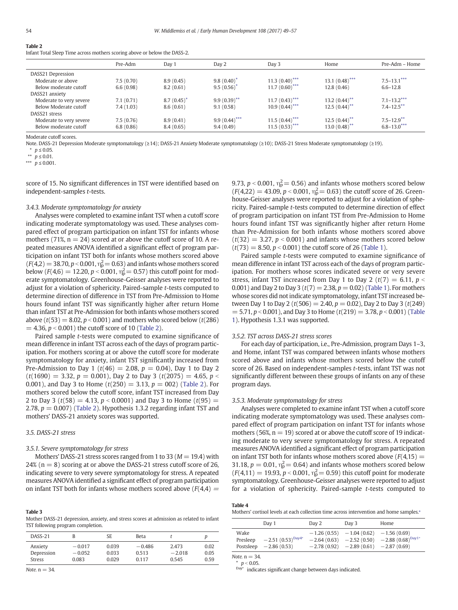# <span id="page-5-0"></span>Table 2

Infant Total Sleep Time across mothers scoring above or below the DASS-2.

|                         | Pre-Adm   | Day 1     | Day 2           | Day 3             | Home                         | Pre-Adm – Home             |
|-------------------------|-----------|-----------|-----------------|-------------------|------------------------------|----------------------------|
| DASS21 Depression       |           |           |                 |                   |                              |                            |
| Moderate or above       | 7.5(0.70) | 8.9(0.45) | 9.8(0.40)       | $11.3(0.40)$ ***  | $13.1~(0.48)$ <sup>***</sup> | $7.5 - 13.1***$            |
| Below moderate cutoff   | 6.6(0.98) | 8.2(0.61) | 9.5(0.56)       | $11.7 (0.60)$ *** | 12.8(0.46)                   | $6.6 - 12.8$               |
| DASS21 anxiety          |           |           |                 |                   |                              |                            |
| Moderate to very severe | 7.1(0.71) | 8.7(0.45) | $9.9(0.39)$ **  | $11.7(0.43)$ ***  | $13.2 (0.44)$ <sup>**</sup>  | $7.1 - 13.2***$            |
| Below Moderate cutoff   | 7.4(1.03) | 8.6(0.61) | 9.1(0.58)       | $10.9(0.44)$ ***  | $12.5(0.44)$ **              | $7.4 - 12.5$ **            |
| DASS21 stress           |           |           |                 |                   |                              |                            |
| Moderate to very severe | 7.5(0.76) | 8.9(0.41) | $9.9(0.44)$ *** | $11.5(0.44)$ ***  | $12.5(0.44)$ **              | $7.5 - 12.9$ <sup>**</sup> |
| Below moderate cutoff   | 6.8(0.86) | 8.4(0.65) | 9.4(0.49)       | $11.5(0.53)$ ***  | $13.0(0.48)$ **              | $6.8 - 13.0***$            |

Moderate cutoff scores.

Note. DASS-21 Depression Moderate symptomatology (≥14); DASS-21 Anxiety Moderate symptomatology (≥10); DASS-21 Stress Moderate symptomatology (≥19).

⁎ p ≤ 0.05.

 $*$  *p* ≤ 0.01.

\*\*\*  $p \le 0.001$ .

score of 15. No significant differences in TST were identified based on independent-samples t-tests.

# 3.4.3. Moderate symptomatology for anxiety

Analyses were completed to examine infant TST when a cutoff score indicating moderate symptomatology was used. These analyses compared effect of program participation on infant TST for infants whose mothers (71%,  $n = 24$ ) scored at or above the cutoff score of 10. A repeated measures ANOVA identified a significant effect of program participation on infant TST both for infants whose mothers scored above  $(F(4,2) = 38.70, p < 0.001, \eta_p^2 = 0.63)$  and infants whose mothers scored below ( $F(4,6) = 12.20, p < 0.001, \eta_{p}^2 = 0.57$ ) this cutoff point for moderate symptomatology. Greenhouse-Geisser analyses were reported to adjust for a violation of sphericity. Paired-sample t-tests computed to determine direction of difference in TST from Pre-Admission to Home hours found infant TST was significantly higher after return Home than infant TST at Pre-Admission for both infants whose mothers scored above ( $t(53) = 8.02$ ,  $p < 0.001$ ) and mothers who scored below ( $t(286)$ )  $= 4.36$ ,  $p < 0.001$ ) the cutoff score of 10 (Table 2).

Paired sample t-tests were computed to examine significance of mean difference in infant TST across each of the days of program participation. For mothers scoring at or above the cutoff score for moderate symptomatology for anxiety, infant TST significantly increased from Pre-Admission to Day 1 ( $t(46) = 2.08$ ,  $p = 0.04$ ), Day 1 to Day 2  $(t(1690) = 3.32, p = 0.001)$ , Day 2 to Day 3  $(t(2075) = 4.65, p <$ 0.001), and Day 3 to Home  $(t(250) = 3.13, p = 002)$  (Table 2). For mothers scored below the cutoff score, infant TST increased from Day 2 to Day 3 ( $t(58) = 4.13$ ,  $p < 0.0001$ ) and Day 3 to Home ( $t(95) =$ 2.78,  $p = 0.007$ ) (Table 2). Hypothesis 1.3.2 regarding infant TST and mothers' DASS-21 anxiety scores was supported.

# 3.5. DASS-21 stress

# 3.5.1. Severe symptomatology for stress

Mothers' DASS-21 stress scores ranged from 1 to 33 ( $M = 19.4$ ) with 24% ( $n = 8$ ) scoring at or above the DASS-21 stress cutoff score of 26, indicating severe to very severe symptomatology for stress. A repeated measures ANOVA identified a significant effect of program participation on infant TST both for infants whose mothers scored above  $(F(4,4) =$ 

# Table 3

Mother DASS-21 depression, anxiety, and stress scores at admission as related to infant TST following program completion.

| DASS-21       |          | SE.   | Beta     |          |      |
|---------------|----------|-------|----------|----------|------|
| Anxiety       | $-0.017$ | 0.039 | $-0.486$ | 2.473    | 0.02 |
| Depression    | $-0.052$ | 0.033 | 0.513    | $-2.018$ | 0.05 |
| <b>Stress</b> | 0.083    | 0.029 | 0.117    | 0.545    | 0.59 |

Note.  $n = 34$ .

9.73,  $p < 0.001$ ,  $\eta_{p}^{2} = 0.56$ ) and infants whose mothers scored below  $(F(4,22) = 43.09, p < 0.001, \eta_{p}^{2} = 0.63)$  the cutoff score of 26. Greenhouse-Geisser analyses were reported to adjust for a violation of sphericity. Paired-sample t-tests computed to determine direction of effect of program participation on infant TST from Pre-Admission to Home hours found infant TST was significantly higher after return Home than Pre-Admission for both infants whose mothers scored above  $(t(32) = 3.27, p < 0.001)$  and infants whose mothers scored below  $(t(73) = 8.50, p < 0.001)$  the cutoff score of 26 [\(Table 1\)](#page-4-0).

Paired sample t-tests were computed to examine significance of mean difference in infant TST across each of the days of program participation. For mothers whose scores indicated severe or very severe stress, infant TST increased from Day 1 to Day 2 ( $t(7) = 6.11$ ,  $p <$ 0.001) and Day 2 to Day 3 ( $t(7) = 2.38$ ,  $p = 0.02$ ) [\(Table 1](#page-4-0)). For mothers whose scores did not indicate symptomatology, infant TST increased between Day 1 to Day 2 ( $t(506) = 2.40$ ,  $p = 0.02$ ), Day 2 to Day 3 ( $t(249)$ )  $= 5.71, p < 0.001$ ), and Day 3 to Home (t(219)  $= 3.78, p < 0.001$ ) ([Table](#page-4-0) [1](#page-4-0)). Hypothesis 1.3.1 was supported.

#### 3.5.2. TST across DASS-21 stress scores

For each day of participation, i.e., Pre-Admission, program Days 1–3, and Home, infant TST was compared between infants whose mothers scored above and infants whose mothers scored below the cutoff score of 26. Based on independent-samples t-tests, infant TST was not significantly different between these groups of infants on any of these program days.

#### 3.5.3. Moderate symptomatology for stress

Analyses were completed to examine infant TST when a cutoff score indicating moderate symptomatology was used. These analyses compared effect of program participation on infant TST for infants whose mothers (56%,  $n = 19$ ) scored at or above the cutoff score of 19 indicating moderate to very severe symptomatology for stress. A repeated measures ANOVA identified a significant effect of program participation on infant TST both for infants whose mothers scored above  $(F(4,15) =$ 31.18,  $p = 0.01$ ,  $\eta_{\rm p}^2 = 0.64$ ) and infants whose mothers scored below  $(F(4, 11) = 19.93, p < 0.001, \eta_{p}^{2} = 0.59)$  this cutoff point for moderate symptomatology. Greenhouse-Geisser analyses were reported to adjust for a violation of sphericity. Paired-sample t-tests computed to

| Λ<br>e<br>н<br>$\sim$ |
|-----------------------|
|-----------------------|

Mothers' cortisol levels at each collection time across intervention and home samples.<sup>\*</sup>

|                               | Day 1                                         | Day 2                                           | Day 3                          | Home                                                                       |
|-------------------------------|-----------------------------------------------|-------------------------------------------------|--------------------------------|----------------------------------------------------------------------------|
| Wake<br>Presleep<br>Postsleep | $-2.51(0.53)^{\text{Day4*}}$<br>$-2.86(0.53)$ | $-1.26(0.55)$<br>$-2.64(0.63)$<br>$-2.78(0.92)$ | $-1.04(0.62)$<br>$-2.52(0.50)$ | $-1.56(0.69)$<br>$-2.88(0.68)^{\text{Day1*}}$<br>$-2.89(0.61) -2.87(0.69)$ |

Note  $n = 34$ 

Tabl

\*  $p < 0.05$ .<br>Day\* indice

indicates significant change between days indicated.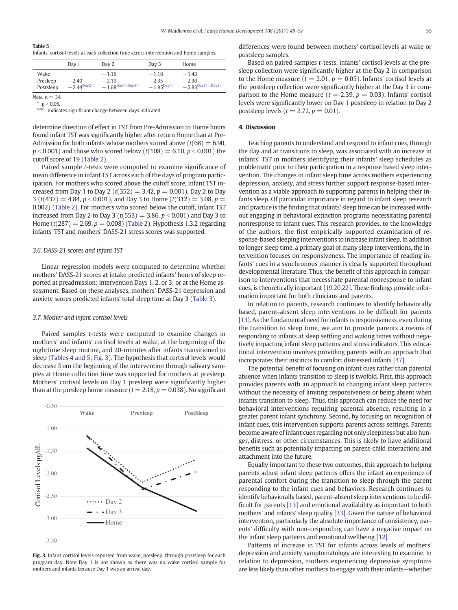<span id="page-6-0"></span>Table 5

Infants' cortisol levels at each collection time across intervention and home samples.

|                               | Day 1                      | Day 2                                               | Day 3                                 | Home                                                        |
|-------------------------------|----------------------------|-----------------------------------------------------|---------------------------------------|-------------------------------------------------------------|
| Wake<br>Presleep<br>Postsleep | $-2.40$<br>$-2.44^{Day2*}$ | $-1.15$<br>$-2.19$<br>$-1.68^{\text{Day1*,Day4**}}$ | $-1.16$<br>$-2.35$<br>$-1.95^{Day4*}$ | $-1.43$<br>$-2.30$<br>$-2.83^{\text{Day2**}, \text{Day3*}}$ |

Note,  $n = 34$ 

 $*$  p < 0.05.<br>Day<sup>\*</sup>:

indicates significant change between days indicated.

determine direction of effect in TST from Pre-Admission to Home hours found infant TST was significantly higher after return Home than at Pre-Admission for both infants whose mothers scored above  $(t(68) = 6.90,$  $p < 0.001$ ) and those who scored below (t(108) = 6.10, p < 0.001) the cutoff score of 19 [\(Table 2\)](#page-5-0).

Paired sample t-tests were computed to examine significance of mean difference in infant TST across each of the days of program participation. For mothers who scored above the cutoff score, infant TST increased from Day 1 to Day 2 ( $t(352) = 3.42$ ,  $p = 0.001$ ), Day 2 to Day 3 (t(437) = 4.84,  $p < 0.001$ ), and Day 3 to Home (t(312) = 3.08, p = 0.002) [\(Table 2](#page-5-0)). For mothers who scored below the cutoff, infant TST increased from Day 2 to Day 3 ( $t(553) = 3.86$ ,  $p < 0.001$ ) and Day 3 to Home  $(t(287) = 2.69, p = 0.008)$  ([Table 2](#page-5-0)). Hypothesis 1.3.2 regarding infants' TST and mothers' DASS-21 stress scores was supported.

#### 3.6. DASS-21 scores and infant TST

Linear regression models were computed to determine whether mothers' DASS-21 scores at intake predicted infants' hours of sleep reported at preadmission; intervention Days 1, 2, or 3; or at the Home assessment. Based on these analyses, mothers' DASS-21 depression and anxiety scores predicted infants' total sleep time at Day 3 ([Table 3](#page-5-0)).

#### 3.7. Mother and infant cortisol levels

Paired samples t-tests were computed to examine changes in mothers' and infants' cortisol levels at wake, at the beginning of the nighttime sleep routine, and 20-minutes after infants transitioned to sleep [\(Tables 4 and 5;](#page-5-0) Fig. 3). The hypothesis that cortisol levels would decrease from the beginning of the intervention through salivary samples at Home collection time was supported for mothers at presleep. Mothers' cortisol levels on Day 1 presleep were significantly higher than at the presleep home measure ( $t = 2.18$ ,  $p = 0.038$ ). No significant



Fig. 3. Infant cortisol levels reported from wake, presleep, through postsleep for each program day. Note Day 1 is not shown as there was no wake cortisol sample for mothers and infants because Day 1 was an arrival day.

differences were found between mothers' cortisol levels at wake or postsleep samples.

Based on paired samples t-tests, infants' cortisol levels at the presleep collection were significantly higher at the Day 2 in comparison to the Home measure ( $t = 2.01$ ,  $p = 0.05$ ). Infants' cortisol levels at the postsleep collection were significantly higher at the Day 3 in comparison to the Home measure ( $t = 2.39$ ,  $p = 0.03$ ). Infants' cortisol levels were significantly lower on Day 1 postsleep in relation to Day 2 postsleep levels ( $t = 2.72$ ,  $p = 0.01$ ).

#### 4. Discussion

Teaching parents to understand and respond to infant cues, through the day and at transitions to sleep, was associated with an increase in infants' TST in mothers identifying their infants' sleep schedules as problematic prior to their participation in a response based sleep intervention. The changes in infant sleep time across mothers experiencing depression, anxiety, and stress further support response-based intervention as a viable approach to supporting parents in helping their infants sleep. Of particular importance in regard to infant sleep research and practice is the finding that infants' sleep time can be increased without engaging in behavioral extinction programs necessitating parental nonresponse to infant cues. This research provides, to the knowledge of the authors, the first empirically supported examination of response-based sleeping interventions to increase infant sleep. In addition to longer sleep time, a primary goal of many sleep interventions, the intervention focuses on responsiveness. The importance of reading infants' cues in a synchronous manner is clearly supported throughout developmental literature. Thus, the benefit of this approach in comparison to interventions that necessitate parental nonresponse to infant cues, is theoretically important [\[19,20,22\]](#page-7-0). These findings provide information important for both clinicians and parents.

In relation to parents, research continues to identify behaviorally based, parent-absent sleep interventions to be difficult for parents [\[13\].](#page-7-0) As the fundamental need for infants is responsiveness, even during the transition to sleep time, we aim to provide parents a means of responding to infants at sleep settling and waking times without negatively impacting infant sleep patterns and stress indicators. This educational intervention involves providing parents with an approach that incorporates their instincts to comfort distressed infants [\[47\].](#page-8-0)

The potential benefit of focusing on infant cues rather than parental absence when infants transition to sleep is twofold. First, this approach provides parents with an approach to changing infant sleep patterns without the necessity of limiting responsiveness or being absent when infants transition to sleep. Thus, this approach can reduce the need for behavioral interventions requiring parental absence, resulting in a greater parent infant synchrony. Second, by focusing on recognition of infant cues, this intervention supports parents across settings. Parents become aware of infant cues regarding not only sleepiness but also hunger, distress, or other circumstances. This is likely to have additional benefits such as potentially impacting on parent-child interactions and attachment into the future.

Equally important to these two outcomes, this approach to helping parents adjust infant sleep patterns offers the infant an experience of parental comfort during the transition to sleep through the parent responding to the infant cues and behaviors. Research continues to identify behaviorally based, parent-absent sleep interventions to be difficult for parents [\[13\]](#page-7-0) and emotional availability as important to both mothers' and infants' sleep quality [\[33\]](#page-8-0). Given the nature of behavioral intervention, particularly the absolute importance of consistency, parents' difficulty with non-responding can have a negative impact on the infant sleep patterns and emotional wellbeing [\[12\].](#page-7-0)

Patterns of increase in TST for infants across levels of mothers' depression and anxiety symptomatology are interesting to examine. In relation to depression, mothers experiencing depressive symptoms are less likely than other mothers to engage with their infants—whether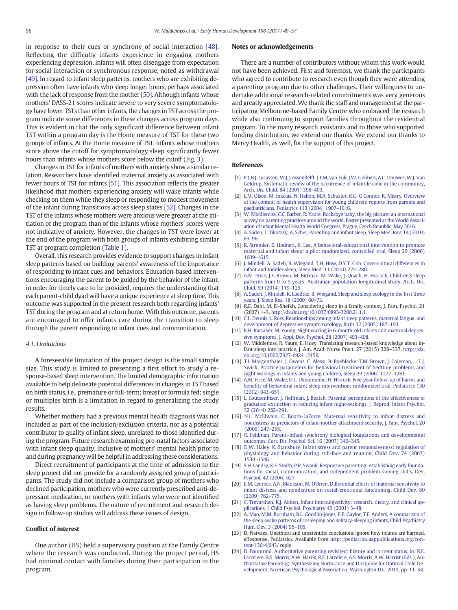<span id="page-7-0"></span>in response to their cues or synchrony of social interaction [\[48\].](#page-8-0) Reflecting the difficulty infants experience in engaging mothers experiencing depression, infants will often disengage from expectation for social interaction or synchronous response, noted as withdrawal [\[49\]](#page-8-0). In regard to infant sleep patterns, mothers who are exhibiting depression often have infants who sleep longer hours, perhaps associated with the lack of response from the mother [\[50\].](#page-8-0) Although infants whose mothers' DASS-21 scores indicate severe to very severe symptomatology have lower TSTs than other infants, the changes in TST across the program indicate some differences in these changes across program days. This is evident in that the only significant difference between infant TST within a program day is the Home measure of TST for these two groups of infants. At the Home measure of TST, infants whose mothers score above the cutoff for symptomatology sleep significantly fewer hours than infants whose mothers score below the cutoff [\(Fig. 3\)](#page-6-0).

Changes in TST for infants of mothers with anxiety show a similar relation. Researchers have identified maternal anxiety as associated with fewer hours of TST for infants [\[51\].](#page-8-0) This association reflects the greater likelihood that mothers experiencing anxiety will wake infants while checking on them while they sleep or responding to modest movement of the infant during transitions across sleep states [\[52\].](#page-8-0) Changes in the TST of the infants whose mothers were anxious were greater at the initiation of the program than of the infants whose mothers' scores were not indicative of anxiety. However, the changes in TST were lower at the end of the program with both groups of infants exhibiting similar TST at program completion ([Table 1](#page-4-0)).

Overall, this research provides evidence to support changes in infant sleep patterns based on building parents' awareness of the importance of responding to infant cues and behaviors. Education-based interventions encouraging the parent to be guided by the behavior of the infant, in order for timely care to be provided, requires the understanding that each parent-child dyad will have a unique experience at sleep time. This outcome was supported in the present research both regarding infants' TST during the program and at return home. With this outcome, parents are encouraged to offer infants care during the transition to sleep through the parent responding to infant cues and communication.

#### 4.1. Limitations

A foreseeable limitation of the project design is the small sample size. This study is limited to presenting a first effort to study a response-based sleep intervention. The limited demographic information available to help delineate potential differences in changes in TST based on birth status, i.e., premature or full-term; breast or formula fed; single or multiples birth is a limitation in regard to generalizing the study results.

Whether mothers had a previous mental health diagnosis was not included as part of the inclusion/exclusion criteria, nor as a potential contributor to quality of infant sleep, unrelated to those identified during the program. Future research examining pre-natal factors associated with infant sleep quality, inclusive of mothers' mental health prior to and during pregnancy will be helpful in addressing these considerations.

Direct recruitment of participants at the time of admission to the sleep project did not provide for a randomly assigned group of participants. The study did not include a comparison group of mothers who declined participation, mothers who were currently prescribed anti-depressant medication, or mothers with infants who were not identified as having sleep problems. The nature of recruitment and research design in follow-up studies will address these issues of design.

# Conflict of interest

One author (HS) held a supervisory position at the Family Centre where the research was conducted. During the project period, HS had minimal contact with families during their participation in the program.

#### Notes or acknowledgements

There are a number of contributors without whom this work would not have been achieved. First and foremost, we thank the participants who agreed to contribute to research even though they were attending a parenting program due to other challenges. Their willingness to undertake additional research-related commitments was very generous and greatly appreciated. We thank the staff and management at the participating Melbourne-based Family Centre who embraced the research while also continuing to support families throughout the residential program. To the many research assistants and to those who supported funding distribution, we extend our thanks. We extend our thanks to Mercy Health, as well, for the support of this project.

# References

- [1] [P.L.B.J. Lucassen, W.J.J. Assendelft, J.T.M. van Eijk, J.W. Gubbels, A.C. Douwes, W.J. Van](http://refhub.elsevier.com/S0378-3782(16)30560-6/rf0005) [Geldrop, Systematic review of the occurrence of infantile colic in the community,](http://refhub.elsevier.com/S0378-3782(16)30560-6/rf0005) [Arch. Dis. Child. 84 \(2001\) 398](http://refhub.elsevier.com/S0378-3782(16)30560-6/rf0005)–403.
- [2] [L.M. Olson, M. Inkelas, N. Halfon, M.A. Schuster, K.G. O'Connor, R. Mistry, Overview](http://refhub.elsevier.com/S0378-3782(16)30560-6/rf0010) [of the content of health supervision for young children: reports from parents and](http://refhub.elsevier.com/S0378-3782(16)30560-6/rf0010) [paediatricians, Pediatrics 113 \(2004\) 1907](http://refhub.elsevier.com/S0378-3782(16)30560-6/rf0010)–1916.
- [3] [W. Middlemiss, C.C. Barber, R. Yaure, Rockabye baby, the big picture: an international](http://refhub.elsevier.com/S0378-3782(16)30560-6/rf0015) [survey on parenting practices around the world, Poster presented at the World Associ](http://refhub.elsevier.com/S0378-3782(16)30560-6/rf0015)[ation of Infant Mental Health World Congress, Prague, Czech Republic, May 2016.](http://refhub.elsevier.com/S0378-3782(16)30560-6/rf0015)
- [4] [A. Sadeh, L. Tikotzky, A. Scher, Parenting and infant sleep, Sleep Med. Rev. 14 \(2010\)](http://refhub.elsevier.com/S0378-3782(16)30560-6/rf0020) [89](http://refhub.elsevier.com/S0378-3782(16)30560-6/rf0020)–96.
- [5] [R. Stremler, E. Hodnett, K. Lee, A behavioral-educational intervention to promote](http://refhub.elsevier.com/S0378-3782(16)30560-6/rf0025) [maternal and infant sleep: a pilot randomized, controlled trial, Sleep 29 \(2006\)](http://refhub.elsevier.com/S0378-3782(16)30560-6/rf0025) [1609](http://refhub.elsevier.com/S0378-3782(16)30560-6/rf0025)–1615.
- [6] [J. Mindell, A. Sadeh, B. Wiegand, T.H. How, D.Y.T. Goh, Cross-cultural differences in](http://refhub.elsevier.com/S0378-3782(16)30560-6/rf0030) [infant and toddler sleep, Sleep Med. 11 \(2010\) 274](http://refhub.elsevier.com/S0378-3782(16)30560-6/rf0030)–280.
- [A.M. Price, J.E. Brown, M. Bittman, M. Wake, J. Quach, H. Hiscock, Children's sleep](http://refhub.elsevier.com/S0378-3782(16)30560-6/rf0035) [patterns from 0 to 9 years: Australian population longitudinal study, Arch. Dis.](http://refhub.elsevier.com/S0378-3782(16)30560-6/rf0035) [Child. 99 \(2014\) 119](http://refhub.elsevier.com/S0378-3782(16)30560-6/rf0035)–125.
- [8] [A. Sadeh, J. Mindell, K. Luedtke, B. Wiegand, Sleep and sleep ecology in the](http://refhub.elsevier.com/S0378-3782(16)30560-6/rf0040) first three [years, J. Sleep Res. 18 \(2009\) 60](http://refhub.elsevier.com/S0378-3782(16)30560-6/rf0040)–73.
- [9] R.E. Dahl, M. El-Sheikh, Considering sleep in a family context, J. Fam. Psychol. 21 (2007) 1–3, http://dx.doi.org/[10.1037/0893-3200.21.1.1.](http://dx.doi.org/10.1037/0893-3200.21.1.1)
- [10] [C.L. Dennis, L. Ross, Relationships among infant sleep patterns, maternal fatigue, and](http://refhub.elsevier.com/S0378-3782(16)30560-6/rf0050) [development of depressive symptomatology, Birth 32 \(2005\) 187](http://refhub.elsevier.com/S0378-3782(16)30560-6/rf0050)–193.
- [11] [K.H. Karraker, M. Young, Night waking in 6-month-old infants and maternal depres](http://refhub.elsevier.com/S0378-3782(16)30560-6/rf0055)[sive symptoms, J. Appl. Dev. Psychol. 28 \(2007\) 493](http://refhub.elsevier.com/S0378-3782(16)30560-6/rf0055)–498.
- [12] W. Middlemiss, R. Yaure, E. Huey, Translating research-based knowledge about infant sleep into practice, J. Am. Acad. Nurse Pract. 27 (2015) 328–337, http://dx. doi.org[/10.1002/2327-6924.12159](http://dx.doi.org/10.1002/2327-6924.12159).
- [13] [T.I. Morgenthaler, J. Owens, C. Alessi, B. Boehlecke, T.M. Brown, J. Coleman, ... T.J.](http://refhub.elsevier.com/S0378-3782(16)30560-6/rf0065) [Swick, Practice parameters for behavioral treatment of bedtime problems and](http://refhub.elsevier.com/S0378-3782(16)30560-6/rf0065) [night wakings in infants and young children, Sleep 29 \(2006\) 1277](http://refhub.elsevier.com/S0378-3782(16)30560-6/rf0065)–1281.
- [14] [A.M. Price, M. Wake, O.C. Ukoumunne, H. Hiscock, Five-year follow-up of harms and](http://refhub.elsevier.com/S0378-3782(16)30560-6/rf0070) benefi[ts of behavioral infant sleep intervention: randomized trial, Pediatrics 130](http://refhub.elsevier.com/S0378-3782(16)30560-6/rf0070) [\(2012\) 643](http://refhub.elsevier.com/S0378-3782(16)30560-6/rf0070)–651.
- [15] [L. Loutzenhiser, J. Hoffman, J. Beatch, Parental perceptions of the effectiveness of](http://refhub.elsevier.com/S0378-3782(16)30560-6/rf0075) [graduated extinction in reducing infant night-wakings, J. Reprod. Infant Psychol.](http://refhub.elsevier.com/S0378-3782(16)30560-6/rf0075) [32 \(2014\) 282](http://refhub.elsevier.com/S0378-3782(16)30560-6/rf0075)–291.
- [16] [N.L. McElwain, C. Booth-LaForce, Maternal sensitivity to infant distress and](http://refhub.elsevier.com/S0378-3782(16)30560-6/rf0080) [nondistress as predictors of infant-mother attachment security, J. Fam. Psychol. 20](http://refhub.elsevier.com/S0378-3782(16)30560-6/rf0080) [\(2006\) 247](http://refhub.elsevier.com/S0378-3782(16)30560-6/rf0080)–255.
- [17] R. Feldman, Parent–[infant synchrony biological foundations and developmental](http://refhub.elsevier.com/S0378-3782(16)30560-6/rf0085) [outcomes, Curr. Dir. Psychol. Sci. 16 \(2007\) 340](http://refhub.elsevier.com/S0378-3782(16)30560-6/rf0085)–345.
- [18] D.W. [Haley, K. Stansbury, Infant stress and parent responsiveness: regulation of](http://refhub.elsevier.com/S0378-3782(16)30560-6/rf0090) [physiology and behavior during still-face and reunion, Child Dev. 74 \(2003\)](http://refhub.elsevier.com/S0378-3782(16)30560-6/rf0090) 1534–[1546.](http://refhub.elsevier.com/S0378-3782(16)30560-6/rf0090)
- [19] [S.H. Landry, K.E. Smith, P.R. Swank, Responsive parenting: establishing early founda](http://refhub.elsevier.com/S0378-3782(16)30560-6/rf0095)[tions for social, communication, and independent problem-solving skills, Dev.](http://refhub.elsevier.com/S0378-3782(16)30560-6/rf0095) [Psychol. 42 \(2006\) 627](http://refhub.elsevier.com/S0378-3782(16)30560-6/rf0095).
- [20] E.M. Leerkes, A.N. Blankson, M. O'[Brien, Differential effects of maternal sensitivity to](http://refhub.elsevier.com/S0378-3782(16)30560-6/rf0100) [infant distress and nondistress on social-emotional functioning, Child Dev. 80](http://refhub.elsevier.com/S0378-3782(16)30560-6/rf0100) [\(2009\) 762](http://refhub.elsevier.com/S0378-3782(16)30560-6/rf0100)–775.
- [21] [C. Trevarthen, K.J. Aitken, Infant intersubjectivity: research, theory, and clinical ap](http://refhub.elsevier.com/S0378-3782(16)30560-6/rf0105)[plications, J. Child Psychol. Psychiatry 42 \(2001\) 3](http://refhub.elsevier.com/S0378-3782(16)30560-6/rf0105)–48.
- [22] [A. Mao, M.M. Burnham, B.L. Goodlin-Jones, E.E. Gaylor, T.F. Anders, A comparison of](http://refhub.elsevier.com/S0378-3782(16)30560-6/rf0110) [the sleep-wake patterns of cosleeping and solitary-sleeping infants, Child Psychiatry](http://refhub.elsevier.com/S0378-3782(16)30560-6/rf0110) [Hum. Dev. 3 \(2004\) 95](http://refhub.elsevier.com/S0378-3782(16)30560-6/rf0110)–105.
- [23] D. Narvaez, Unethical and unscientific conclusions ignore how infants are harmed. eResponse, Pediatrics. Available from [http://pediatrics.aappublications.org/con](http://pediatrics.aappublications.org/content/130/4/643)[tent/130/4/643/](http://pediatrics.aappublications.org/content/130/4/643) reply
- [24] [D. Baumrind, Authoritative parenting revisited: history and current status, in: R.E.](http://refhub.elsevier.com/S0378-3782(16)30560-6/rf0115) [Larzelere, A.S. Morris, A.W. Harris, R.E. Larzelere, A.S. Morris, A.W. Harrist \(Eds.\), Au](http://refhub.elsevier.com/S0378-3782(16)30560-6/rf0115)[thoritative Parenting: Synthesizing Nurturance and Discipline for Optimal Child De](http://refhub.elsevier.com/S0378-3782(16)30560-6/rf0115)[velopment, American Psychological Association, Washington D.C. 2013, pp. 11](http://refhub.elsevier.com/S0378-3782(16)30560-6/rf0115)–34.